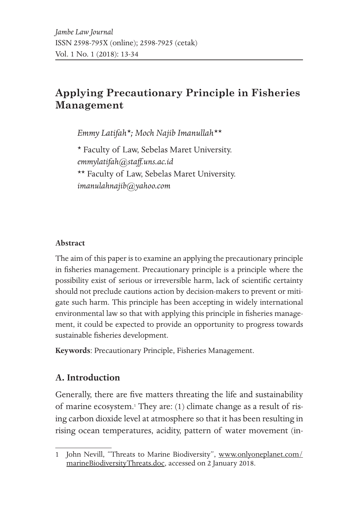# **Applying Precautionary Principle in Fisheries Management**

*Emmy Latifah\*; Moch Najib Imanullah\*\**

\* Faculty of Law, Sebelas Maret University. *emmylatifah@staff.uns.ac.id* \*\* Faculty of Law, Sebelas Maret University. *imanulahnajib@yahoo.com*

#### **Abstract**

The aim of this paper is to examine an applying the precautionary principle in fisheries management. Precautionary principle is a principle where the possibility exist of serious or irreversible harm, lack of scientific certainty should not preclude cautions action by decision-makers to prevent or mitigate such harm. This principle has been accepting in widely international environmental law so that with applying this principle in fisheries management, it could be expected to provide an opportunity to progress towards sustainable fisheries development.

**Keywords**: Precautionary Principle, Fisheries Management.

## **A. Introduction**

Generally, there are five matters threating the life and sustainability of marine ecosystem.<sup>1</sup> They are: (1) climate change as a result of rising carbon dioxide level at atmosphere so that it has been resulting in rising ocean temperatures, acidity, pattern of water movement (in-

<sup>1</sup> John Nevill, "Threats to Marine Biodiversity", www.onlyoneplanet.com/ marineBiodiversityThreats.doc, accessed on 2 January 2018.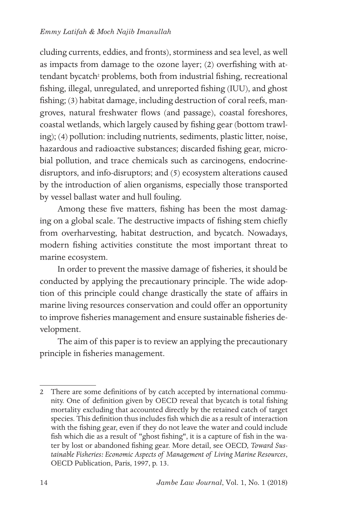cluding currents, eddies, and fronts), storminess and sea level, as well as impacts from damage to the ozone layer; (2) overfishing with attendant bycatch<sup>2</sup> problems, both from industrial fishing, recreational fishing, illegal, unregulated, and unreported fishing (IUU), and ghost fishing; (3) habitat damage, including destruction of coral reefs, mangroves, natural freshwater flows (and passage), coastal foreshores, coastal wetlands, which largely caused by fishing gear (bottom trawling); (4) pollution: including nutrients, sediments, plastic litter, noise, hazardous and radioactive substances; discarded fishing gear, microbial pollution, and trace chemicals such as carcinogens, endocrinedisruptors, and info-disruptors; and (5) ecosystem alterations caused by the introduction of alien organisms, especially those transported by vessel ballast water and hull fouling.

Among these five matters, fishing has been the most damaging on a global scale. The destructive impacts of fishing stem chiefly from overharvesting, habitat destruction, and bycatch. Nowadays, modern fishing activities constitute the most important threat to marine ecosystem.

In order to prevent the massive damage of fisheries, it should be conducted by applying the precautionary principle. The wide adoption of this principle could change drastically the state of affairs in marine living resources conservation and could offer an opportunity to improve fisheries management and ensure sustainable fisheries development.

The aim of this paper is to review an applying the precautionary principle in fisheries management.

<sup>2</sup> There are some definitions of by catch accepted by international community. One of definition given by OECD reveal that bycatch is total fishing mortality excluding that accounted directly by the retained catch of target species. This definition thus includes fish which die as a result of interaction with the fishing gear, even if they do not leave the water and could include fish which die as a result of "ghost fishing", it is a capture of fish in the water by lost or abandoned fishing gear. More detail, see OECD, *Toward Sustainable Fisheries: Economic Aspects of Management of Living Marine Resources*, OECD Publication, Paris, 1997, p. 13.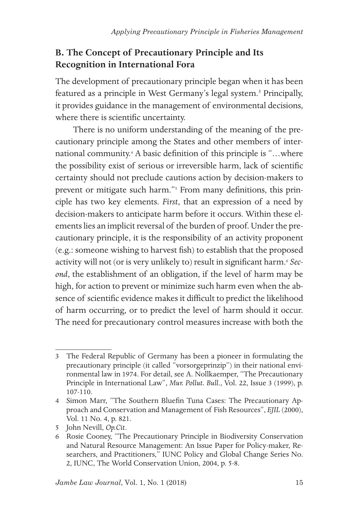## **B. The Concept of Precautionary Principle and Its Recognition in International Fora**

The development of precautionary principle began when it has been featured as a principle in West Germany's legal system.<sup>3</sup> Principally, it provides guidance in the management of environmental decisions, where there is scientific uncertainty.

There is no uniform understanding of the meaning of the precautionary principle among the States and other members of international community.4 A basic definition of this principle is "…where the possibility exist of serious or irreversible harm, lack of scientific certainty should not preclude cautions action by decision-makers to prevent or mitigate such harm."<sup>5</sup> From many definitions, this principle has two key elements. *First*, that an expression of a need by decision-makers to anticipate harm before it occurs. Within these elements lies an implicit reversal of the burden of proof. Under the precautionary principle, it is the responsibility of an activity proponent (e.g.: someone wishing to harvest fish) to establish that the proposed activity will not (or is very unlikely to) result in significant harm.<sup>6</sup> Sec*ond*, the establishment of an obligation, if the level of harm may be high, for action to prevent or minimize such harm even when the absence of scientific evidence makes it difficult to predict the likelihood of harm occurring, or to predict the level of harm should it occur. The need for precautionary control measures increase with both the

<sup>3</sup> The Federal Republic of Germany has been a pioneer in formulating the precautionary principle (it called "vorsorgeprinzip") in their national environmental law in 1974. For detail, see A. Nollkaemper, "The Precautionary Principle in International Law", *Mur. Pollut. Bull*., Vol. 22, Issue 3 (1999), p. 107-110.

<sup>4</sup> Simon Marr, "The Southern Bluefin Tuna Cases: The Precautionary Approach and Conservation and Management of Fish Resources", *EJIL* (2000), Vol. 11 No. 4, p. 821.

<sup>5</sup> John Nevill, *Op.Cit*.

<sup>6</sup> Rosie Cooney, "The Precautionary Principle in Biodiversity Conservation and Natural Resource Management: An Issue Paper for Policy-maker, Researchers, and Practitioners," IUNC Policy and Global Change Series No. 2, IUNC, The World Conservation Union, 2004, p. 5-8.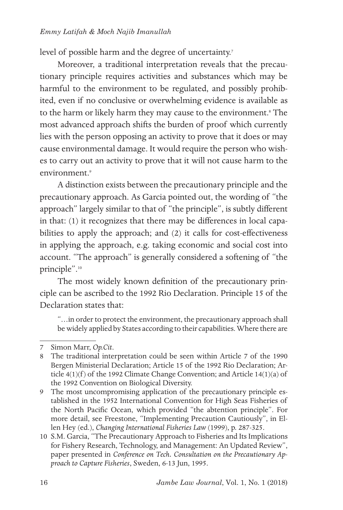level of possible harm and the degree of uncertainty.<sup>7</sup>

Moreover, a traditional interpretation reveals that the precautionary principle requires activities and substances which may be harmful to the environment to be regulated, and possibly prohibited, even if no conclusive or overwhelming evidence is available as to the harm or likely harm they may cause to the environment.<sup>8</sup> The most advanced approach shifts the burden of proof which currently lies with the person opposing an activity to prove that it does or may cause environmental damage. It would require the person who wishes to carry out an activity to prove that it will not cause harm to the environment<sup>9</sup>

A distinction exists between the precautionary principle and the precautionary approach. As Garcia pointed out, the wording of "the approach" largely similar to that of "the principle", is subtly different in that: (1) it recognizes that there may be differences in local capabilities to apply the approach; and (2) it calls for cost-effectiveness in applying the approach, e.g. taking economic and social cost into account. "The approach" is generally considered a softening of "the principle".10

The most widely known definition of the precautionary principle can be ascribed to the 1992 Rio Declaration. Principle 15 of the Declaration states that:

"…in order to protect the environment, the precautionary approach shall be widely applied by States according to their capabilities. Where there are

<sup>7</sup> Simon Marr, *Op.Cit*.

<sup>8</sup> The traditional interpretation could be seen within Article 7 of the 1990 Bergen Ministerial Declaration; Article 15 of the 1992 Rio Declaration; Article  $4(1)(f)$  of the 1992 Climate Change Convention; and Article 14(1)(a) of the 1992 Convention on Biological Diversity.

<sup>9</sup> The most uncompromising application of the precautionary principle established in the 1952 International Convention for High Seas Fisheries of the North Pacific Ocean, which provided "the abtention principle". For more detail, see Freestone, "Implementing Precaution Cautiously", in Ellen Hey (ed.), *Changing International Fisheries Law* (1999), p. 287-325.

<sup>10</sup> S.M. Garcia, "The Precautionary Approach to Fisheries and Its Implications for Fishery Research, Technology, and Management: An Updated Review", paper presented in *Conference on Tech. Consultation on the Precautionary Approach to Capture Fisheries*, Sweden, 6-13 Jun, 1995.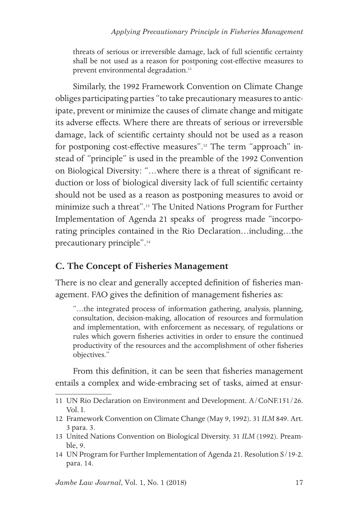threats of serious or irreversible damage, lack of full scientific certainty shall be not used as a reason for postponing cost-effective measures to prevent environmental degradation.<sup>11</sup>

Similarly, the 1992 Framework Convention on Climate Change obliges participating parties "to take precautionary measures to anticipate, prevent or minimize the causes of climate change and mitigate its adverse effects. Where there are threats of serious or irreversible damage, lack of scientific certainty should not be used as a reason for postponing cost-effective measures".12 The term "approach" instead of "principle" is used in the preamble of the 1992 Convention on Biological Diversity: "…where there is a threat of significant reduction or loss of biological diversity lack of full scientific certainty should not be used as a reason as postponing measures to avoid or minimize such a threat".13 The United Nations Program for Further Implementation of Agenda 21 speaks of progress made "incorporating principles contained in the Rio Declaration…including…the precautionary principle".14

### **C. The Concept of Fisheries Management**

There is no clear and generally accepted definition of fisheries management. FAO gives the definition of management fisheries as:

"…the integrated process of information gathering, analysis, planning, consultation, decision-making, allocation of resources and formulation and implementation, with enforcement as necessary, of regulations or rules which govern fisheries activities in order to ensure the continued productivity of the resources and the accomplishment of other fisheries objectives."

From this definition, it can be seen that fisheries management entails a complex and wide-embracing set of tasks, aimed at ensur-

<sup>11</sup> UN Rio Declaration on Environment and Development. A/CoNF.151/26. Vol. I.

<sup>12</sup> Framework Convention on Climate Change (May 9, 1992). 31 *ILM* 849. Art. 3 para. 3.

<sup>13</sup> United Nations Convention on Biological Diversity. 31 *ILM* (1992). Preamble, 9.

<sup>14</sup> UN Program for Further Implementation of Agenda 21. Resolution S/19-2. para. 14.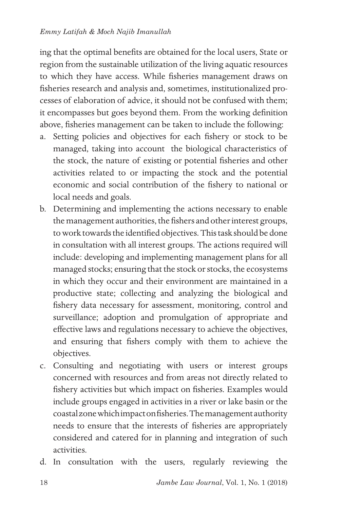ing that the optimal benefits are obtained for the local users, State or region from the sustainable utilization of the living aquatic resources to which they have access. While fisheries management draws on fisheries research and analysis and, sometimes, institutionalized processes of elaboration of advice, it should not be confused with them; it encompasses but goes beyond them. From the working definition above, fisheries management can be taken to include the following:

- a. Setting policies and objectives for each fishery or stock to be managed, taking into account the biological characteristics of the stock, the nature of existing or potential fisheries and other activities related to or impacting the stock and the potential economic and social contribution of the fishery to national or local needs and goals.
- b. Determining and implementing the actions necessary to enable the management authorities, the fishers and other interest groups, to work towards the identified objectives. This task should be done in consultation with all interest groups. The actions required will include: developing and implementing management plans for all managed stocks; ensuring that the stock or stocks, the ecosystems in which they occur and their environment are maintained in a productive state; collecting and analyzing the biological and fishery data necessary for assessment, monitoring, control and surveillance; adoption and promulgation of appropriate and effective laws and regulations necessary to achieve the objectives, and ensuring that fishers comply with them to achieve the objectives.
- c. Consulting and negotiating with users or interest groups concerned with resources and from areas not directly related to fishery activities but which impact on fisheries. Examples would include groups engaged in activities in a river or lake basin or the coastal zone which impact on fisheries. The management authority needs to ensure that the interests of fisheries are appropriately considered and catered for in planning and integration of such activities.
- d. In consultation with the users, regularly reviewing the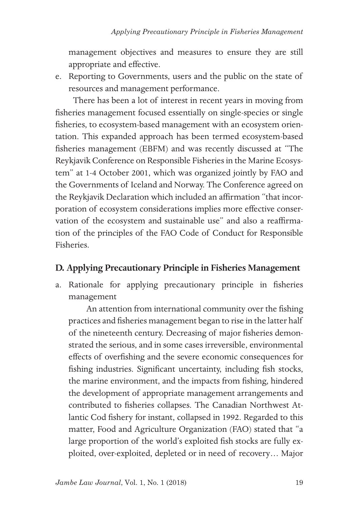management objectives and measures to ensure they are still appropriate and effective.

e. Reporting to Governments, users and the public on the state of resources and management performance.

There has been a lot of interest in recent years in moving from fisheries management focused essentially on single-species or single fisheries, to ecosystem-based management with an ecosystem orientation. This expanded approach has been termed ecosystem-based fisheries management (EBFM) and was recently discussed at "The Reykjavik Conference on Responsible Fisheries in the Marine Ecosystem" at 1-4 October 2001, which was organized jointly by FAO and the Governments of Iceland and Norway. The Conference agreed on the Reykjavik Declaration which included an affirmation "that incorporation of ecosystem considerations implies more effective conservation of the ecosystem and sustainable use" and also a reaffirmation of the principles of the FAO Code of Conduct for Responsible Fisheries.

### **D. Applying Precautionary Principle in Fisheries Management**

a. Rationale for applying precautionary principle in fisheries management

An attention from international community over the fishing practices and fisheries management began to rise in the latter half of the nineteenth century. Decreasing of major fisheries demonstrated the serious, and in some cases irreversible, environmental effects of overfishing and the severe economic consequences for fishing industries. Significant uncertainty, including fish stocks, the marine environment, and the impacts from fishing, hindered the development of appropriate management arrangements and contributed to fisheries collapses. The Canadian Northwest Atlantic Cod fishery for instant, collapsed in 1992. Regarded to this matter, Food and Agriculture Organization (FAO) stated that "a large proportion of the world's exploited fish stocks are fully exploited, over-exploited, depleted or in need of recovery… Major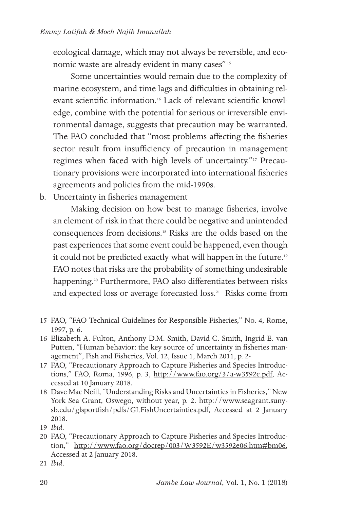ecological damage, which may not always be reversible, and economic waste are already evident in many cases" 15

Some uncertainties would remain due to the complexity of marine ecosystem, and time lags and difficulties in obtaining relevant scientific information.16 Lack of relevant scientific knowledge, combine with the potential for serious or irreversible environmental damage, suggests that precaution may be warranted. The FAO concluded that "most problems affecting the fisheries sector result from insufficiency of precaution in management regimes when faced with high levels of uncertainty."17 Precautionary provisions were incorporated into international fisheries agreements and policies from the mid-1990s.

b. Uncertainty in fisheries management

Making decision on how best to manage fisheries, involve an element of risk in that there could be negative and unintended consequences from decisions.18 Risks are the odds based on the past experiences that some event could be happened, even though it could not be predicted exactly what will happen in the future.<sup>19</sup> FAO notes that risks are the probability of something undesirable happening.<sup>20</sup> Furthermore, FAO also differentiates between risks and expected loss or average forecasted loss.21 Risks come from

<sup>15</sup> FAO, "FAO Technical Guidelines for Responsible Fisheries," No. 4, Rome, 1997, p. 6.

<sup>16</sup> Elizabeth A. Fulton, Anthony D.M. Smith, David C. Smith, Ingrid E. van Putten, "Human behavior: the key source of uncertainty in fisheries management", Fish and Fisheries, Vol. 12, Issue 1, March 2011, p. 2-

<sup>17</sup> FAO, "Precautionary Approach to Capture Fisheries and Species Introductions," FAO, Roma, 1996, p. 3, http://www.fao.org/3/a-w3592e.pdf, Accessed at 10 January 2018.

<sup>18</sup> Dave Mac Neill, "Understanding Risks and Uncertainties in Fisheries," New York Sea Grant, Oswego, without year, p. 2. http://www.seagrant.sunysb.edu/glsportfish/pdfs/GLFishUncertainties.pdf, Accessed at 2 January 2018.

<sup>19</sup> *Ibid.*

<sup>20</sup> FAO, "Precautionary Approach to Capture Fisheries and Species Introduction," http://www.fao.org/docrep/003/W3592E/w3592e06.htm#bm06, Accessed at 2 January 2018.

<sup>21</sup> *Ibid*.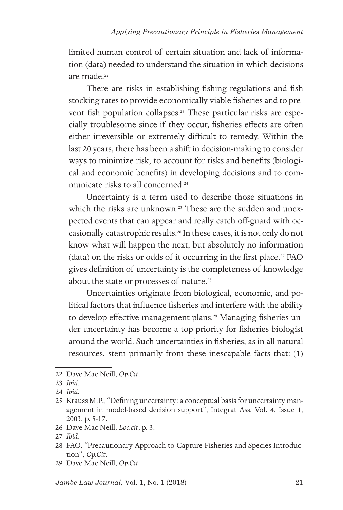limited human control of certain situation and lack of information (data) needed to understand the situation in which decisions are made<sup>22</sup>

There are risks in establishing fishing regulations and fish stocking rates to provide economically viable fisheries and to prevent fish population collapses.<sup>23</sup> These particular risks are especially troublesome since if they occur, fisheries effects are often either irreversible or extremely difficult to remedy. Within the last 20 years, there has been a shift in decision-making to consider ways to minimize risk, to account for risks and benefits (biological and economic benefits) in developing decisions and to communicate risks to all concerned.24

Uncertainty is a term used to describe those situations in which the risks are unknown.<sup>25</sup> These are the sudden and unexpected events that can appear and really catch off-guard with occasionally catastrophic results.26 In these cases, it is not only do not know what will happen the next, but absolutely no information (data) on the risks or odds of it occurring in the first place.<sup>27</sup> FAO gives definition of uncertainty is the completeness of knowledge about the state or processes of nature.<sup>28</sup>

Uncertainties originate from biological, economic, and political factors that influence fisheries and interfere with the ability to develop effective management plans.<sup>29</sup> Managing fisheries under uncertainty has become a top priority for fisheries biologist around the world. Such uncertainties in fisheries, as in all natural resources, stem primarily from these inescapable facts that: (1)

- 28 FAO, "Precautionary Approach to Capture Fisheries and Species Introduction", *Op.Cit*.
- 29 Dave Mac Neill, *Op.Cit.*

<sup>22</sup> Dave Mac Neill, *Op.Cit*.

<sup>23</sup> *Ibid*.

<sup>24</sup> *Ibid.*

<sup>25</sup> Krauss M.P., "Defining uncertainty: a conceptual basis for uncertainty management in model-based decision support", Integrat Ass, Vol. 4, Issue 1, 2003, p. 5-17.

<sup>26</sup> Dave Mac Neill, *Loc.cit*, p. 3.

<sup>27</sup> *Ibid*.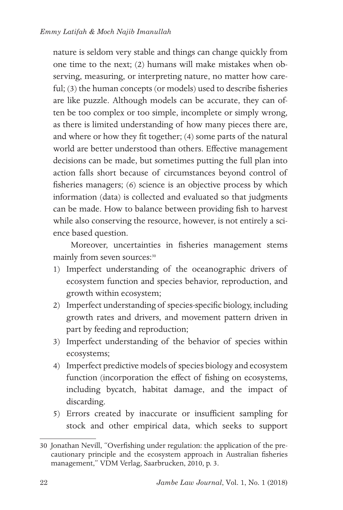nature is seldom very stable and things can change quickly from one time to the next; (2) humans will make mistakes when observing, measuring, or interpreting nature, no matter how careful; (3) the human concepts (or models) used to describe fisheries are like puzzle. Although models can be accurate, they can often be too complex or too simple, incomplete or simply wrong, as there is limited understanding of how many pieces there are, and where or how they fit together; (4) some parts of the natural world are better understood than others. Effective management decisions can be made, but sometimes putting the full plan into action falls short because of circumstances beyond control of fisheries managers; (6) science is an objective process by which information (data) is collected and evaluated so that judgments can be made. How to balance between providing fish to harvest while also conserving the resource, however, is not entirely a science based question.

Moreover, uncertainties in fisheries management stems mainly from seven sources:<sup>30</sup>

- 1) Imperfect understanding of the oceanographic drivers of ecosystem function and species behavior, reproduction, and growth within ecosystem;
- 2) Imperfect understanding of species-specific biology, including growth rates and drivers, and movement pattern driven in part by feeding and reproduction;
- 3) Imperfect understanding of the behavior of species within ecosystems;
- 4) Imperfect predictive models of species biology and ecosystem function (incorporation the effect of fishing on ecosystems, including bycatch, habitat damage, and the impact of discarding.
- 5) Errors created by inaccurate or insufficient sampling for stock and other empirical data, which seeks to support

<sup>30</sup> Jonathan Nevill, "Overfishing under regulation: the application of the precautionary principle and the ecosystem approach in Australian fisheries management," VDM Verlag, Saarbrucken, 2010, p. 3.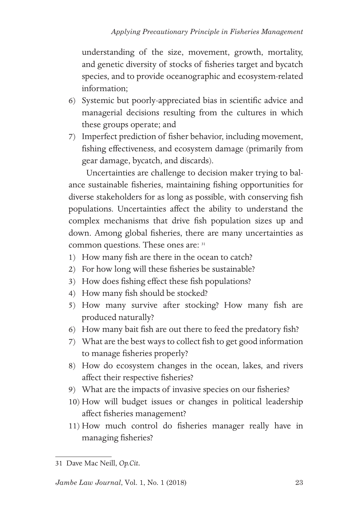understanding of the size, movement, growth, mortality, and genetic diversity of stocks of fisheries target and bycatch species, and to provide oceanographic and ecosystem-related information;

- 6) Systemic but poorly-appreciated bias in scientific advice and managerial decisions resulting from the cultures in which these groups operate; and
- 7) Imperfect prediction of fisher behavior, including movement, fishing effectiveness, and ecosystem damage (primarily from gear damage, bycatch, and discards).

Uncertainties are challenge to decision maker trying to balance sustainable fisheries, maintaining fishing opportunities for diverse stakeholders for as long as possible, with conserving fish populations. Uncertainties affect the ability to understand the complex mechanisms that drive fish population sizes up and down. Among global fisheries, there are many uncertainties as common questions. These ones are: 31

- 1) How many fish are there in the ocean to catch?
- 2) For how long will these fisheries be sustainable?
- 3) How does fishing effect these fish populations?
- 4) How many fish should be stocked?
- 5) How many survive after stocking? How many fish are produced naturally?
- 6) How many bait fish are out there to feed the predatory fish?
- 7) What are the best ways to collect fish to get good information to manage fisheries properly?
- 8) How do ecosystem changes in the ocean, lakes, and rivers affect their respective fisheries?
- 9) What are the impacts of invasive species on our fisheries?
- 10) How will budget issues or changes in political leadership affect fisheries management?
- 11) How much control do fisheries manager really have in managing fisheries?

<sup>31</sup> Dave Mac Neill, *Op.Cit.*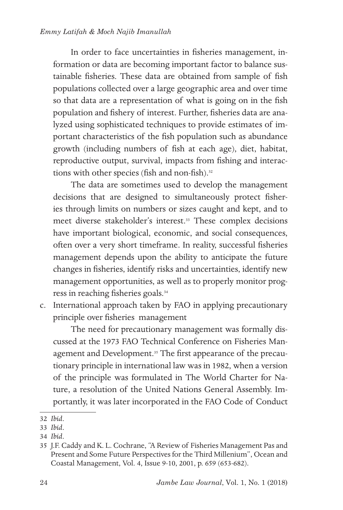#### *Emmy Latifah & Moch Najib Imanullah*

In order to face uncertainties in fisheries management, information or data are becoming important factor to balance sustainable fisheries. These data are obtained from sample of fish populations collected over a large geographic area and over time so that data are a representation of what is going on in the fish population and fishery of interest. Further, fisheries data are analyzed using sophisticated techniques to provide estimates of important characteristics of the fish population such as abundance growth (including numbers of fish at each age), diet, habitat, reproductive output, survival, impacts from fishing and interactions with other species (fish and non-fish).<sup>32</sup>

The data are sometimes used to develop the management decisions that are designed to simultaneously protect fisheries through limits on numbers or sizes caught and kept, and to meet diverse stakeholder's interest.33 These complex decisions have important biological, economic, and social consequences, often over a very short timeframe. In reality, successful fisheries management depends upon the ability to anticipate the future changes in fisheries, identify risks and uncertainties, identify new management opportunities, as well as to properly monitor progress in reaching fisheries goals.34

c. International approach taken by FAO in applying precautionary principle over fisheries management

The need for precautionary management was formally discussed at the 1973 FAO Technical Conference on Fisheries Management and Development.<sup>35</sup> The first appearance of the precautionary principle in international law was in 1982, when a version of the principle was formulated in The World Charter for Nature, a resolution of the United Nations General Assembly. Importantly, it was later incorporated in the FAO Code of Conduct

<sup>32</sup> *Ibid*.

<sup>33</sup> *Ibid*.

<sup>34</sup> *Ibid*.

<sup>35</sup> J.F. Caddy and K. L. Cochrane, "A Review of Fisheries Management Pas and Present and Some Future Perspectives for the Third Millenium", Ocean and Coastal Management, Vol. 4, Issue 9-10, 2001, p. 659 (653-682).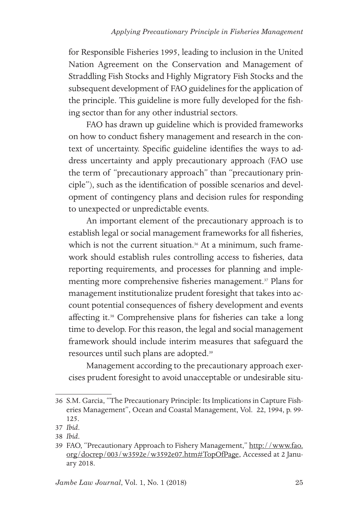for Responsible Fisheries 1995, leading to inclusion in the United Nation Agreement on the Conservation and Management of Straddling Fish Stocks and Highly Migratory Fish Stocks and the subsequent development of FAO guidelines for the application of the principle. This guideline is more fully developed for the fishing sector than for any other industrial sectors.

FAO has drawn up guideline which is provided frameworks on how to conduct fishery management and research in the context of uncertainty. Specific guideline identifies the ways to address uncertainty and apply precautionary approach (FAO use the term of "precautionary approach" than "precautionary principle"), such as the identification of possible scenarios and development of contingency plans and decision rules for responding to unexpected or unpredictable events.

An important element of the precautionary approach is to establish legal or social management frameworks for all fisheries, which is not the current situation.<sup>36</sup> At a minimum, such framework should establish rules controlling access to fisheries, data reporting requirements, and processes for planning and implementing more comprehensive fisheries management.<sup>37</sup> Plans for management institutionalize prudent foresight that takes into account potential consequences of fishery development and events affecting it.38 Comprehensive plans for fisheries can take a long time to develop. For this reason, the legal and social management framework should include interim measures that safeguard the resources until such plans are adopted.39

Management according to the precautionary approach exercises prudent foresight to avoid unacceptable or undesirable situ-

<sup>36</sup> S.M. Garcia, "The Precautionary Principle: Its Implications in Capture Fisheries Management", Ocean and Coastal Management, Vol. 22, 1994, p. 99- 125.

<sup>37</sup> *Ibid*.

<sup>38</sup> *Ibid*.

<sup>39</sup> FAO, "Precautionary Approach to Fishery Management," http://www.fao. org/docrep/003/w3592e/w3592e07.htm#TopOfPage, Accessed at 2 January 2018.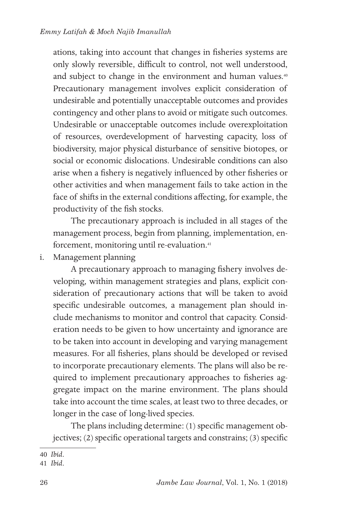ations, taking into account that changes in fisheries systems are only slowly reversible, difficult to control, not well understood, and subject to change in the environment and human values.<sup>40</sup> Precautionary management involves explicit consideration of undesirable and potentially unacceptable outcomes and provides contingency and other plans to avoid or mitigate such outcomes. Undesirable or unacceptable outcomes include overexploitation of resources, overdevelopment of harvesting capacity, loss of biodiversity, major physical disturbance of sensitive biotopes, or social or economic dislocations. Undesirable conditions can also arise when a fishery is negatively influenced by other fisheries or other activities and when management fails to take action in the face of shifts in the external conditions affecting, for example, the productivity of the fish stocks.

The precautionary approach is included in all stages of the management process, begin from planning, implementation, enforcement, monitoring until re-evaluation.<sup>41</sup>

i. Management planning

A precautionary approach to managing fishery involves developing, within management strategies and plans, explicit consideration of precautionary actions that will be taken to avoid specific undesirable outcomes, a management plan should include mechanisms to monitor and control that capacity. Consideration needs to be given to how uncertainty and ignorance are to be taken into account in developing and varying management measures. For all fisheries, plans should be developed or revised to incorporate precautionary elements. The plans will also be required to implement precautionary approaches to fisheries aggregate impact on the marine environment. The plans should take into account the time scales, at least two to three decades, or longer in the case of long-lived species.

The plans including determine: (1) specific management objectives; (2) specific operational targets and constrains; (3) specific

<sup>40</sup> *Ibid*.

<sup>41</sup> *Ibid*.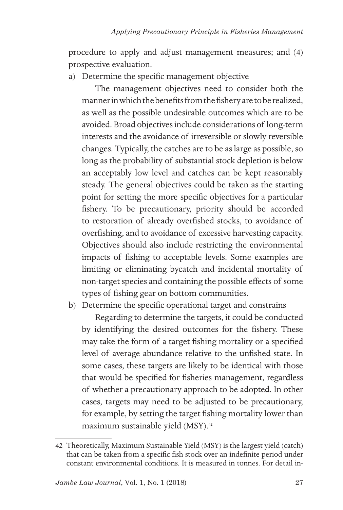procedure to apply and adjust management measures; and (4) prospective evaluation.

a) Determine the specific management objective

The management objectives need to consider both the manner in which the benefits from the fishery are to be realized, as well as the possible undesirable outcomes which are to be avoided. Broad objectives include considerations of long-term interests and the avoidance of irreversible or slowly reversible changes. Typically, the catches are to be as large as possible, so long as the probability of substantial stock depletion is below an acceptably low level and catches can be kept reasonably steady. The general objectives could be taken as the starting point for setting the more specific objectives for a particular fishery. To be precautionary, priority should be accorded to restoration of already overfished stocks, to avoidance of overfishing, and to avoidance of excessive harvesting capacity. Objectives should also include restricting the environmental impacts of fishing to acceptable levels. Some examples are limiting or eliminating bycatch and incidental mortality of non-target species and containing the possible effects of some types of fishing gear on bottom communities.

b) Determine the specific operational target and constrains

Regarding to determine the targets, it could be conducted by identifying the desired outcomes for the fishery. These may take the form of a target fishing mortality or a specified level of average abundance relative to the unfished state. In some cases, these targets are likely to be identical with those that would be specified for fisheries management, regardless of whether a precautionary approach to be adopted. In other cases, targets may need to be adjusted to be precautionary, for example, by setting the target fishing mortality lower than maximum sustainable yield (MSY).42

<sup>42</sup> Theoretically, Maximum Sustainable Yield (MSY) is the largest yield (catch) that can be taken from a specific fish stock over an indefinite period under constant environmental conditions. It is measured in tonnes. For detail in-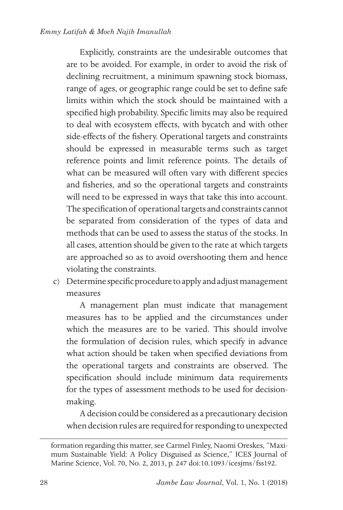Explicitly, constraints are the undesirable outcomes that are to be avoided. For example, in order to avoid the risk of declining recruitment, a minimum spawning stock biomass, range of ages, or geographic range could be set to define safe limits within which the stock should be maintained with a specified high probability. Specific limits may also be required to deal with ecosystem effects, with bycatch and with other side-effects of the fishery. Operational targets and constraints should be expressed in measurable terms such as target reference points and limit reference points. The details of what can be measured will often vary with different species and fisheries, and so the operational targets and constraints will need to be expressed in ways that take this into account. The specification of operational targets and constraints cannot be separated from consideration of the types of data and methods that can be used to assess the status of the stocks. In all cases, attention should be given to the rate at which targets are approached so as to avoid overshooting them and hence violating the constraints.

c) Determine specific procedure to apply and adjust management measures

A management plan must indicate that management measures has to be applied and the circumstances under which the measures are to be varied. This should involve the formulation of decision rules, which specify in advance what action should be taken when specified deviations from the operational targets and constraints are observed. The specification should include minimum data requirements for the types of assessment methods to be used for decisionmaking.

A decision could be considered as a precautionary decision when decision rules are required for responding to unexpected

formation regarding this matter, see Carmel Finley, Naomi Oreskes, "Maximum Sustainable Yield: A Policy Disguised as Science," ICES Journal of Marine Science, Vol. 70, No. 2, 2013, p. 247 doi:10.1093/icesjms/fss192.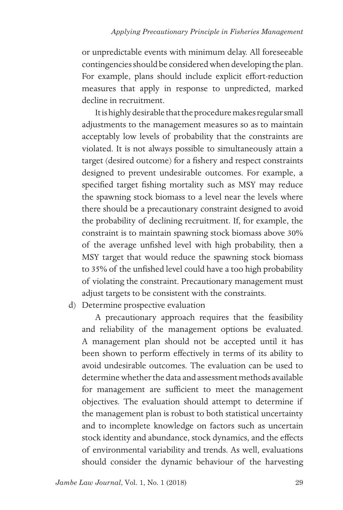or unpredictable events with minimum delay. All foreseeable contingencies should be considered when developing the plan. For example, plans should include explicit effort-reduction measures that apply in response to unpredicted, marked decline in recruitment.

It is highly desirable that the procedure makes regular small adjustments to the management measures so as to maintain acceptably low levels of probability that the constraints are violated. It is not always possible to simultaneously attain a target (desired outcome) for a fishery and respect constraints designed to prevent undesirable outcomes. For example, a specified target fishing mortality such as MSY may reduce the spawning stock biomass to a level near the levels where there should be a precautionary constraint designed to avoid the probability of declining recruitment. If, for example, the constraint is to maintain spawning stock biomass above 30% of the average unfished level with high probability, then a MSY target that would reduce the spawning stock biomass to 35% of the unfished level could have a too high probability of violating the constraint. Precautionary management must adjust targets to be consistent with the constraints.

d) Determine prospective evaluation

A precautionary approach requires that the feasibility and reliability of the management options be evaluated. A management plan should not be accepted until it has been shown to perform effectively in terms of its ability to avoid undesirable outcomes. The evaluation can be used to determine whether the data and assessment methods available for management are sufficient to meet the management objectives. The evaluation should attempt to determine if the management plan is robust to both statistical uncertainty and to incomplete knowledge on factors such as uncertain stock identity and abundance, stock dynamics, and the effects of environmental variability and trends. As well, evaluations should consider the dynamic behaviour of the harvesting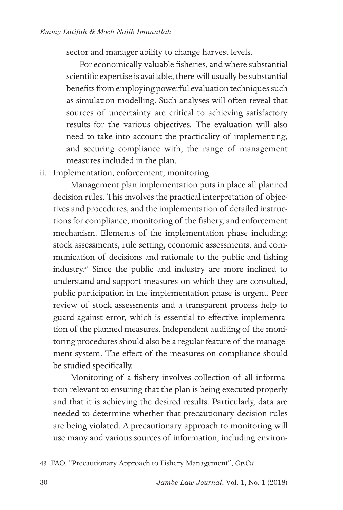sector and manager ability to change harvest levels.

For economically valuable fisheries, and where substantial scientific expertise is available, there will usually be substantial benefits from employing powerful evaluation techniques such as simulation modelling. Such analyses will often reveal that sources of uncertainty are critical to achieving satisfactory results for the various objectives. The evaluation will also need to take into account the practicality of implementing, and securing compliance with, the range of management measures included in the plan.

### ii. Implementation, enforcement, monitoring

Management plan implementation puts in place all planned decision rules. This involves the practical interpretation of objectives and procedures, and the implementation of detailed instructions for compliance, monitoring of the fishery, and enforcement mechanism. Elements of the implementation phase including: stock assessments, rule setting, economic assessments, and communication of decisions and rationale to the public and fishing industry.43 Since the public and industry are more inclined to understand and support measures on which they are consulted, public participation in the implementation phase is urgent. Peer review of stock assessments and a transparent process help to guard against error, which is essential to effective implementation of the planned measures. Independent auditing of the monitoring procedures should also be a regular feature of the management system. The effect of the measures on compliance should be studied specifically.

Monitoring of a fishery involves collection of all information relevant to ensuring that the plan is being executed properly and that it is achieving the desired results. Particularly, data are needed to determine whether that precautionary decision rules are being violated. A precautionary approach to monitoring will use many and various sources of information, including environ-

<sup>43</sup> FAO, "Precautionary Approach to Fishery Management", *Op.Cit*.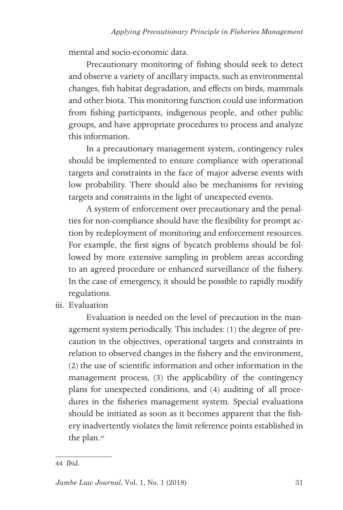mental and socio-economic data.

Precautionary monitoring of fishing should seek to detect and observe a variety of ancillary impacts, such as environmental changes, fish habitat degradation, and effects on birds, mammals and other biota. This monitoring function could use information from fishing participants, indigenous people, and other public groups, and have appropriate procedures to process and analyze this information.

In a precautionary management system, contingency rules should be implemented to ensure compliance with operational targets and constraints in the face of major adverse events with low probability. There should also be mechanisms for revising targets and constraints in the light of unexpected events.

A system of enforcement over precautionary and the penalties for non-compliance should have the flexibility for prompt action by redeployment of monitoring and enforcement resources. For example, the first signs of bycatch problems should be followed by more extensive sampling in problem areas according to an agreed procedure or enhanced surveillance of the fishery. In the case of emergency, it should be possible to rapidly modify regulations.

iii. Evaluation

Evaluation is needed on the level of precaution in the management system periodically. This includes: (1) the degree of precaution in the objectives, operational targets and constraints in relation to observed changes in the fishery and the environment, (2) the use of scientific information and other information in the management process, (3) the applicability of the contingency plans for unexpected conditions, and (4) auditing of all procedures in the fisheries management system. Special evaluations should be initiated as soon as it becomes apparent that the fishery inadvertently violates the limit reference points established in the plan.<sup>44</sup>

<sup>44</sup> *Ibid*.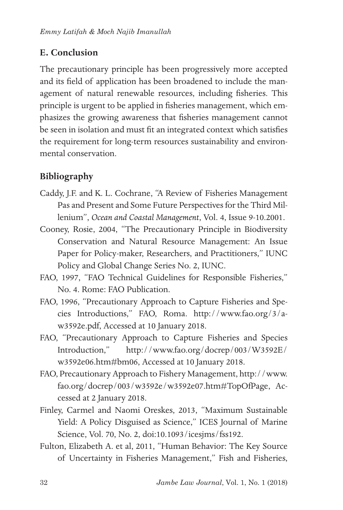## **E. Conclusion**

The precautionary principle has been progressively more accepted and its field of application has been broadened to include the management of natural renewable resources, including fisheries. This principle is urgent to be applied in fisheries management, which emphasizes the growing awareness that fisheries management cannot be seen in isolation and must fit an integrated context which satisfies the requirement for long-term resources sustainability and environmental conservation.

## **Bibliography**

- Caddy, J.F. and K. L. Cochrane, "A Review of Fisheries Management Pas and Present and Some Future Perspectives for the Third Millenium", *Ocean and Coastal Management*, Vol. 4, Issue 9-10.2001.
- Cooney, Rosie, 2004, "The Precautionary Principle in Biodiversity Conservation and Natural Resource Management: An Issue Paper for Policy-maker, Researchers, and Practitioners," IUNC Policy and Global Change Series No. 2, IUNC.
- FAO, 1997, "FAO Technical Guidelines for Responsible Fisheries," No. 4. Rome: FAO Publication.
- FAO, 1996, "Precautionary Approach to Capture Fisheries and Species Introductions," FAO, Roma. http://www.fao.org/3/aw3592e.pdf, Accessed at 10 January 2018.
- FAO, "Precautionary Approach to Capture Fisheries and Species Introduction," http://www.fao.org/docrep/003/W3592E/ w3592e06.htm#bm06, Accessed at 10 January 2018.
- FAO, Precautionary Approach to Fishery Management, http://www. fao.org/docrep/003/w3592e/w3592e07.htm#TopOfPage, Accessed at 2 January 2018.
- Finley, Carmel and Naomi Oreskes, 2013, "Maximum Sustainable Yield: A Policy Disguised as Science," ICES Journal of Marine Science, Vol. 70, No. 2, doi:10.1093/icesjms/fss192.
- Fulton, Elizabeth A. et al, 2011, "Human Behavior: The Key Source of Uncertainty in Fisheries Management," Fish and Fisheries,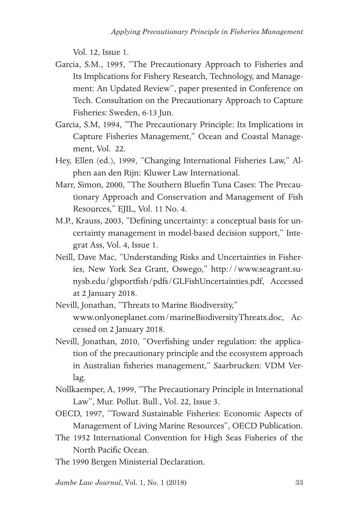Vol. 12, Issue 1.

- Garcia, S.M., 1995, "The Precautionary Approach to Fisheries and Its Implications for Fishery Research, Technology, and Management: An Updated Review", paper presented in Conference on Tech. Consultation on the Precautionary Approach to Capture Fisheries: Sweden, 6-13 Jun.
- Garcia, S.M, 1994, "The Precautionary Principle: Its Implications in Capture Fisheries Management," Ocean and Coastal Management, Vol. 22.
- Hey, Ellen (ed.), 1999, "Changing International Fisheries Law," Alphen aan den Rijn: Kluwer Law International.
- Marr, Simon, 2000, "The Southern Bluefin Tuna Cases: The Precautionary Approach and Conservation and Management of Fish Resources," EJIL, Vol. 11 No. 4.
- M.P., Krauss, 2003, "Defining uncertainty: a conceptual basis for uncertainty management in model-based decision support," Integrat Ass, Vol. 4, Issue 1.
- Neill, Dave Mac, "Understanding Risks and Uncertainties in Fisheries, New York Sea Grant, Oswego," http://www.seagrant.sunysb.edu/glsportfish/pdfs/GLFishUncertainties.pdf, Accessed at 2 January 2018.
- Nevill, Jonathan, "Threats to Marine Biodiversity," www.onlyoneplanet.com/marineBiodiversityThreats.doc, Accessed on 2 January 2018.
- Nevill, Jonathan, 2010, "Overfishing under regulation: the application of the precautionary principle and the ecosystem approach in Australian fisheries management," Saarbrucken: VDM Verlag.
- Nollkaemper, A, 1999, "The Precautionary Principle in International Law", Mur. Pollut. Bull., Vol. 22, Issue 3.
- OECD, 1997, "Toward Sustainable Fisheries: Economic Aspects of Management of Living Marine Resources", OECD Publication.
- The 1952 International Convention for High Seas Fisheries of the North Pacific Ocean.
- The 1990 Bergen Ministerial Declaration.

*Jambe Law Journal*, Vol. 1, No. 1 (2018)